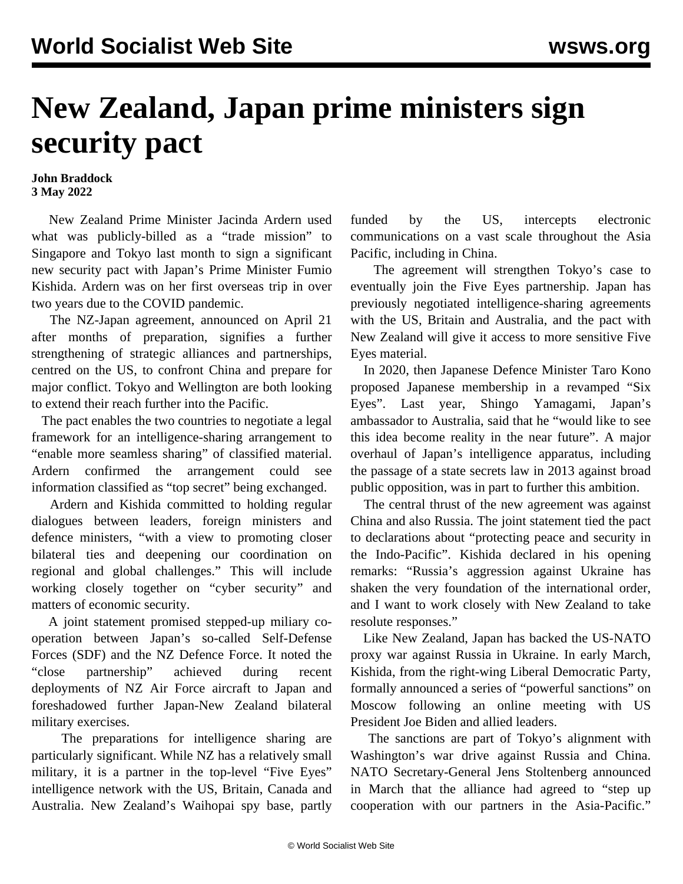## **New Zealand, Japan prime ministers sign security pact**

## **John Braddock 3 May 2022**

 New Zealand Prime Minister Jacinda Ardern used what was publicly-billed as a "trade mission" to Singapore and Tokyo last month to sign a significant new security pact with Japan's Prime Minister Fumio Kishida. Ardern was on her first overseas trip in over two years due to the COVID pandemic.

 The NZ-Japan agreement, announced on April 21 after months of preparation, signifies a further strengthening of strategic alliances and partnerships, centred on the US, to confront China and prepare for major conflict. Tokyo and Wellington are both looking to extend their reach further into the Pacific.

 The pact enables the two countries to negotiate a legal framework for an intelligence-sharing arrangement to "enable more seamless sharing" of classified material. Ardern confirmed the arrangement could see information classified as "top secret" being exchanged.

 Ardern and Kishida committed to holding regular dialogues between leaders, foreign ministers and defence ministers, "with a view to promoting closer bilateral ties and deepening our coordination on regional and global challenges." This will include working closely together on "cyber security" and matters of economic security.

 A joint statement promised stepped-up miliary cooperation between Japan's so-called Self-Defense Forces (SDF) and the NZ Defence Force. It noted the "close partnership" achieved during recent deployments of NZ Air Force aircraft to Japan and foreshadowed further Japan-New Zealand bilateral military exercises.

 The preparations for intelligence sharing are particularly significant. While NZ has a relatively small military, it is a partner in the top-level "Five Eyes" intelligence network with the US, Britain, Canada and Australia. New Zealand's Waihopai spy base, partly funded by the US, intercepts electronic communications on a vast scale throughout the Asia Pacific, including in China.

 The agreement will strengthen Tokyo's case to eventually join the Five Eyes partnership. Japan has previously negotiated intelligence-sharing agreements with the US, Britain and Australia, and the pact with New Zealand will give it access to more sensitive Five Eyes material.

 In 2020, then Japanese Defence Minister Taro Kono proposed Japanese membership in a revamped "Six Eyes". Last year, Shingo Yamagami, Japan's ambassador to Australia, said that he "would like to see this idea become reality in the near future". A major overhaul of Japan's intelligence apparatus, including the passage of a state secrets law in 2013 against broad public opposition, was in part to further this ambition.

 The central thrust of the new agreement was against China and also Russia. The joint statement tied the pact to declarations about "protecting peace and security in the Indo-Pacific". Kishida declared in his opening remarks: "Russia's aggression against Ukraine has shaken the very foundation of the international order, and I want to work closely with New Zealand to take resolute responses."

 Like New Zealand, Japan has backed the US-NATO proxy war against Russia in Ukraine. In early March, Kishida, from the right-wing Liberal Democratic Party, formally announced a series of "powerful sanctions" on Moscow following an online meeting with US President Joe Biden and allied leaders.

 The sanctions are part of Tokyo's alignment with Washington's war drive against Russia and China. NATO Secretary-General Jens Stoltenberg announced in March that the alliance had agreed to "step up cooperation with our partners in the Asia-Pacific."